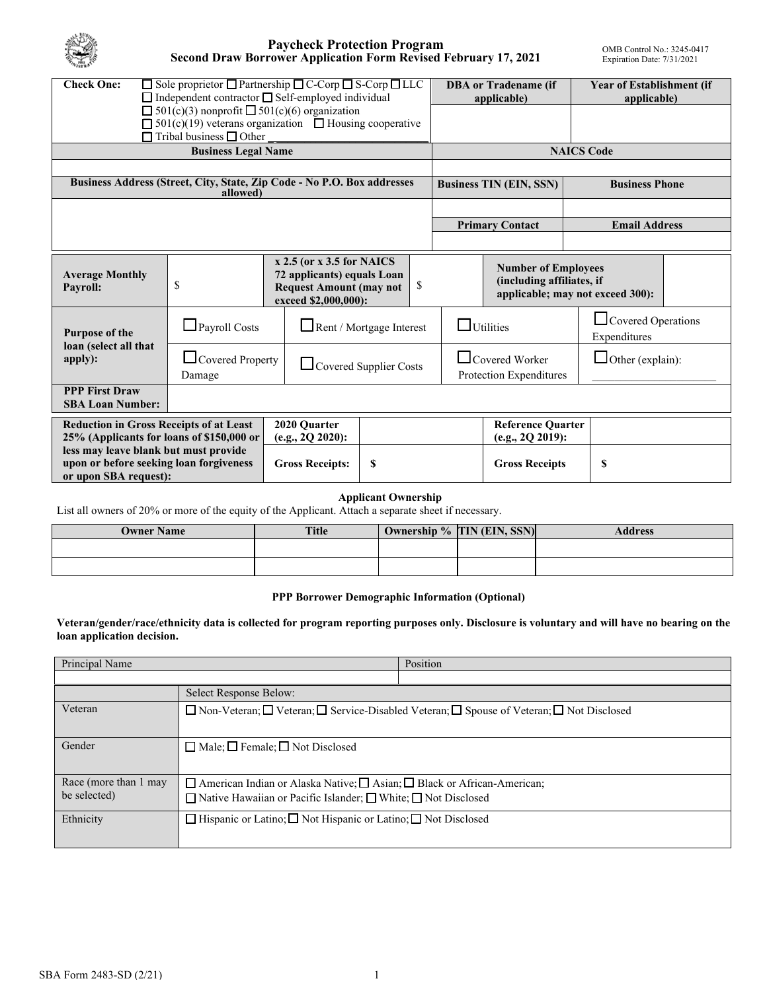

#### **Paycheck Protection Program Second Draw Borrower Application Form Revised February 17, 2021**

| <b>Check One:</b>                                                                                                                                                     |                                   | $\Box$ Sole proprietor $\Box$ Partnership $\Box$ C-Corp $\Box$ S-Corp $\Box$ LLC<br>$\Box$ Independent contractor $\Box$ Self-employed individual |                        | <b>DBA</b> or Tradename (if<br>applicable)                                                  |                                              | <b>Year of Establishment (if</b><br>applicable) |  |
|-----------------------------------------------------------------------------------------------------------------------------------------------------------------------|-----------------------------------|---------------------------------------------------------------------------------------------------------------------------------------------------|------------------------|---------------------------------------------------------------------------------------------|----------------------------------------------|-------------------------------------------------|--|
| $\Box$ 501(c)(3) nonprofit $\Box$ 501(c)(6) organization<br>$\Box$ 501(c)(19) veterans organization $\Box$ Housing cooperative<br>$\Box$ Tribal business $\Box$ Other |                                   |                                                                                                                                                   |                        |                                                                                             |                                              |                                                 |  |
| <b>Business Legal Name</b>                                                                                                                                            |                                   |                                                                                                                                                   |                        | <b>NAICS Code</b>                                                                           |                                              |                                                 |  |
|                                                                                                                                                                       |                                   |                                                                                                                                                   |                        |                                                                                             |                                              |                                                 |  |
| Business Address (Street, City, State, Zip Code - No P.O. Box addresses<br>allowed)                                                                                   |                                   |                                                                                                                                                   |                        | <b>Business TIN (EIN, SSN)</b>                                                              |                                              | <b>Business Phone</b>                           |  |
|                                                                                                                                                                       |                                   |                                                                                                                                                   |                        |                                                                                             |                                              |                                                 |  |
|                                                                                                                                                                       |                                   |                                                                                                                                                   | <b>Primary Contact</b> |                                                                                             | <b>Email Address</b>                         |                                                 |  |
|                                                                                                                                                                       |                                   |                                                                                                                                                   |                        |                                                                                             |                                              |                                                 |  |
| <b>Average Monthly</b><br><b>Payroll:</b>                                                                                                                             | \$                                | $x 2.5$ (or $x 3.5$ for NAICS<br>72 applicants) equals Loan<br><b>Request Amount (may not</b><br>exceed \$2,000,000):                             | \$                     | <b>Number of Employees</b><br>(including affiliates, if<br>applicable; may not exceed 300): |                                              |                                                 |  |
| Purpose of the                                                                                                                                                        | $\Box$ Payroll Costs              | Rent / Mortgage Interest                                                                                                                          |                        | $\square$ Utilities                                                                         |                                              | $\Box$ Covered Operations<br>Expenditures       |  |
| loan (select all that<br>apply):                                                                                                                                      | $\Box$ Covered Property<br>Damage |                                                                                                                                                   | Covered Supplier Costs | $\Box$ Covered Worker<br>Protection Expenditures                                            |                                              | $\Box$ Other (explain):                         |  |
| <b>PPP First Draw</b><br><b>SBA Loan Number:</b>                                                                                                                      |                                   |                                                                                                                                                   |                        |                                                                                             |                                              |                                                 |  |
| <b>Reduction in Gross Receipts of at Least</b><br>25% (Applicants for loans of \$150,000 or                                                                           |                                   | 2020 Quarter<br>(e.g., 2Q 2020):                                                                                                                  |                        |                                                                                             | <b>Reference Quarter</b><br>(e.g., 2Q 2019): |                                                 |  |
| less may leave blank but must provide<br>upon or before seeking loan forgiveness<br>or upon SBA request):                                                             |                                   | <b>Gross Receipts:</b>                                                                                                                            | \$                     |                                                                                             | <b>Gross Receipts</b>                        | \$                                              |  |

#### **Applicant Ownership**

List all owners of 20% or more of the equity of the Applicant. Attach a separate sheet if necessary.

| <b>Owner Name</b> | <b>Title</b> | Ownership % TIN (EIN, SSN) | <b>Address</b> |
|-------------------|--------------|----------------------------|----------------|
|                   |              |                            |                |
|                   |              |                            |                |

#### **PPP Borrower Demographic Information (Optional)**

**Veteran/gender/race/ethnicity data is collected for program reporting purposes only. Disclosure is voluntary and will have no bearing on the loan application decision.** 

| Principal Name        |                                                                                            | Position |  |  |  |
|-----------------------|--------------------------------------------------------------------------------------------|----------|--|--|--|
|                       |                                                                                            |          |  |  |  |
|                       | Select Response Below:                                                                     |          |  |  |  |
| Veteran               | □ Non-Veteran; □ Veteran; □ Service-Disabled Veteran; □ Spouse of Veteran; □ Not Disclosed |          |  |  |  |
| Gender                | $\Box$ Male; $\Box$ Female; $\Box$ Not Disclosed                                           |          |  |  |  |
| Race (more than 1 may | $\Box$ American Indian or Alaska Native; $\Box$ Asian; $\Box$ Black or African-American;   |          |  |  |  |
| be selected)          | $\Box$ Native Hawaiian or Pacific Islander; $\Box$ White; $\Box$ Not Disclosed             |          |  |  |  |
| Ethnicity             | $\Box$ Hispanic or Latino; $\Box$ Not Hispanic or Latino; $\Box$ Not Disclosed             |          |  |  |  |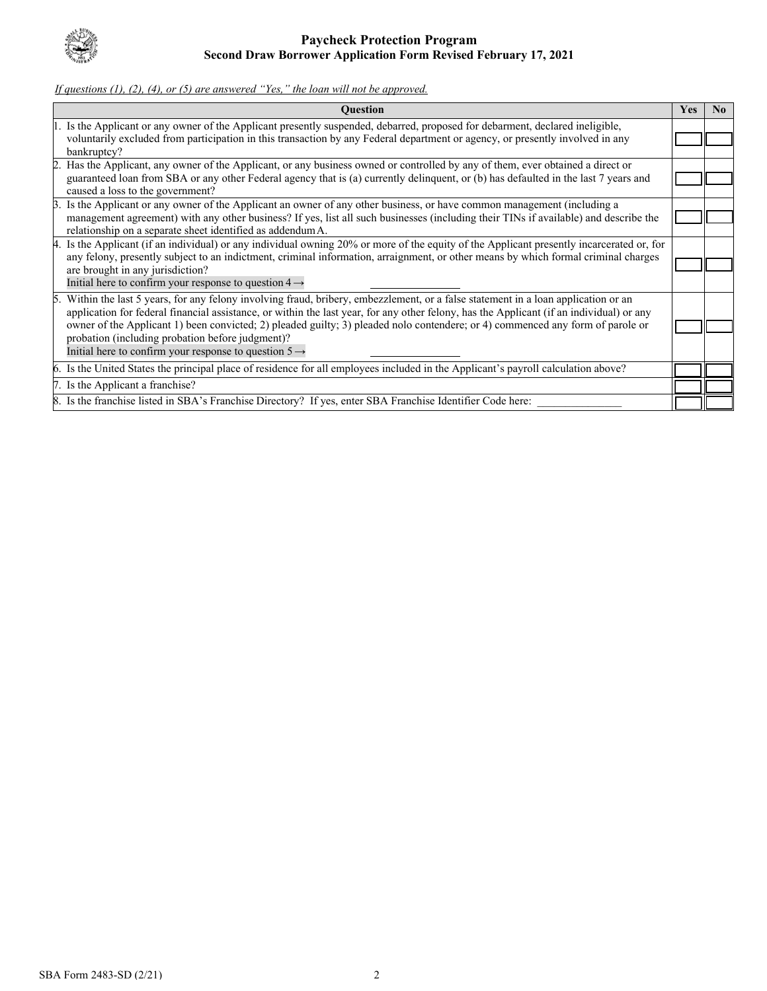

# *If questions (1), (2), (4), or (5) are answered "Yes," the loan will not be approved.*

|    | <b>Question</b>                                                                                                                                                                                                                                                                                                                                                                                                                                                                                                                            | <b>Yes</b> | N <sub>0</sub> |
|----|--------------------------------------------------------------------------------------------------------------------------------------------------------------------------------------------------------------------------------------------------------------------------------------------------------------------------------------------------------------------------------------------------------------------------------------------------------------------------------------------------------------------------------------------|------------|----------------|
|    | 1. Is the Applicant or any owner of the Applicant presently suspended, debarred, proposed for debarment, declared ineligible,<br>voluntarily excluded from participation in this transaction by any Federal department or agency, or presently involved in any<br>bankruptcy?                                                                                                                                                                                                                                                              |            |                |
|    | 2. Has the Applicant, any owner of the Applicant, or any business owned or controlled by any of them, ever obtained a direct or<br>guaranteed loan from SBA or any other Federal agency that is (a) currently delinquent, or (b) has defaulted in the last 7 years and<br>caused a loss to the government?                                                                                                                                                                                                                                 |            |                |
| 3. | Is the Applicant or any owner of the Applicant an owner of any other business, or have common management (including a<br>management agreement) with any other business? If yes, list all such businesses (including their TINs if available) and describe the<br>relationship on a separate sheet identified as addendum A.                                                                                                                                                                                                                |            |                |
|    | 4. Is the Applicant (if an individual) or any individual owning 20% or more of the equity of the Applicant presently incarcerated or, for<br>any felony, presently subject to an indictment, criminal information, arraignment, or other means by which formal criminal charges<br>are brought in any jurisdiction?<br>Initial here to confirm your response to question $4 \rightarrow$                                                                                                                                                   |            |                |
|    | 5. Within the last 5 years, for any felony involving fraud, bribery, embezzlement, or a false statement in a loan application or an<br>application for federal financial assistance, or within the last year, for any other felony, has the Applicant (if an individual) or any<br>owner of the Applicant 1) been convicted; 2) pleaded guilty; 3) pleaded nolo contendere; or 4) commenced any form of parole or<br>probation (including probation before judgment)?<br>Initial here to confirm your response to question $5 \rightarrow$ |            |                |
|    | 6. Is the United States the principal place of residence for all employees included in the Applicant's payroll calculation above?                                                                                                                                                                                                                                                                                                                                                                                                          |            |                |
|    | 7. Is the Applicant a franchise?                                                                                                                                                                                                                                                                                                                                                                                                                                                                                                           |            |                |
|    | 8. Is the franchise listed in SBA's Franchise Directory? If yes, enter SBA Franchise Identifier Code here:                                                                                                                                                                                                                                                                                                                                                                                                                                 |            |                |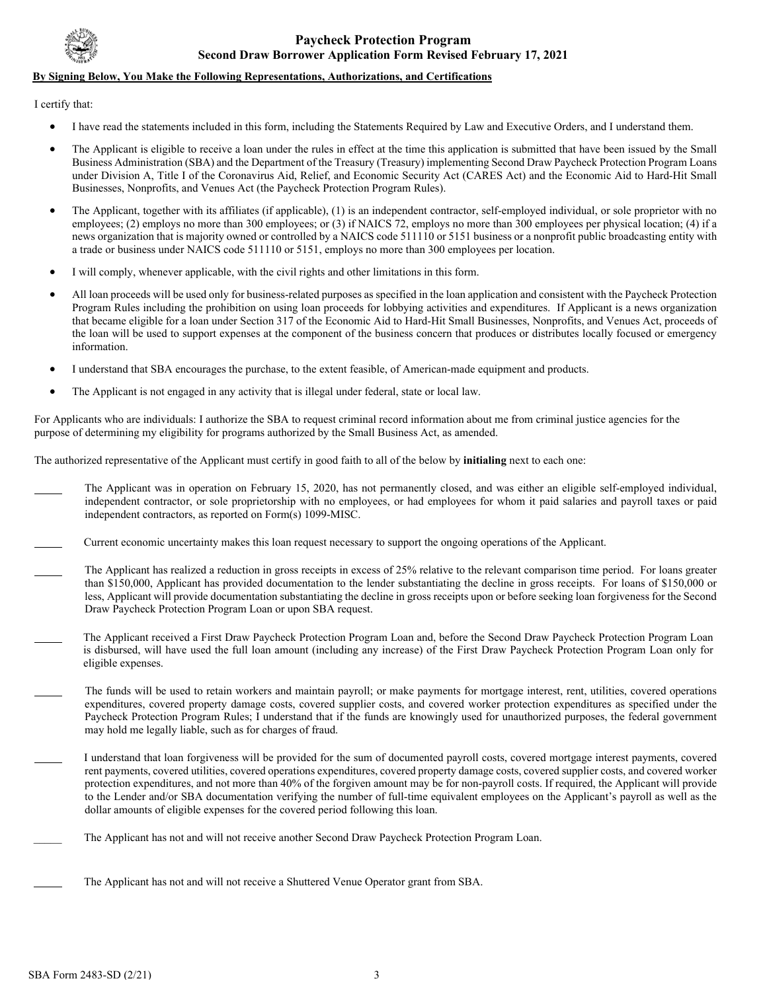

#### **By Signing Below, You Make the Following Representations, Authorizations, and Certifications**

I certify that:

 $\overline{a}$ 

֦

 $\overline{a}$ 

֦

- I have read the statements included in this form, including the Statements Required by Law and Executive Orders, and I understand them.
- The Applicant is eligible to receive a loan under the rules in effect at the time this application is submitted that have been issued by the Small Business Administration (SBA) and the Department of the Treasury (Treasury) implementing Second Draw Paycheck Protection Program Loans under Division A, Title I of the Coronavirus Aid, Relief, and Economic Security Act (CARES Act) and the Economic Aid to Hard-Hit Small Businesses, Nonprofits, and Venues Act (the Paycheck Protection Program Rules).
- The Applicant, together with its affiliates (if applicable), (1) is an independent contractor, self-employed individual, or sole proprietor with no employees; (2) employs no more than 300 employees; or (3) if NAICS 72, employs no more than 300 employees per physical location; (4) if a news organization that is majority owned or controlled by a NAICS code 511110 or 5151 business or a nonprofit public broadcasting entity with a trade or business under NAICS code 511110 or 5151, employs no more than 300 employees per location.
- I will comply, whenever applicable, with the civil rights and other limitations in this form.
- that became eligible for a loan under Section 317 of the Economic Aid to Hard-Hit Small Businesses, Nonprofits, and Venues Act, proceeds of the loan will be used to support expenses at the component of the business concern that produces or distributes locally focused or emergency • All loan proceeds will be used only for business-related purposes as specified in the loan application and consistent with the Paycheck Protection Program Rules including the prohibition on using loan proceeds for lobbying activities and expenditures. If Applicant is a news organization information.
- I understand that SBA encourages the purchase, to the extent feasible, of American-made equipment and products.
- The Applicant is not engaged in any activity that is illegal under federal, state or local law.

For Applicants who are individuals: I authorize the SBA to request criminal record information about me from criminal justice agencies for the purpose of determining my eligibility for programs authorized by the Small Business Act, as amended.

The authorized representative of the Applicant must certify in good faith to all of the below by **initialing** next to each one:

- independent contractor, or sole proprietorship with no employees, or had employees for whom it paid salaries and payroll taxes or paid independent contractors, as reported on Form(s) 1099-MISC. The Applicant was in operation on February 15, 2020, has not permanently closed, and was either an eligible self-employed individual,
- $\overline{a}$ Current economic uncertainty makes this loan request necessary to support the ongoing operations of the Applicant.
- $\overline{a}$  than \$150,000, Applicant has provided documentation to the lender substantiating the decline in gross receipts. For loans of \$150,000 or Draw Paycheck Protection Program Loan or upon SBA request. The Applicant has realized a reduction in gross receipts in excess of 25% relative to the relevant comparison time period. For loans greater less, Applicant will provide documentation substantiating the decline in gross receipts upon or before seeking loan forgiveness for the Second
- $\overline{a}$  is disbursed, will have used the full loan amount (including any increase) of the First Draw Paycheck Protection Program Loan only for The Applicant received a First Draw Paycheck Protection Program Loan and, before the Second Draw Paycheck Protection Program Loan eligible expenses.
- The funds will be used to retain workers and maintain payroll; or make payments for mortgage interest, rent, utilities, covered operations expenditures, covered property damage costs, covered supplier costs, and covered worker protection expenditures as specified under the Paycheck Protection Program Rules; I understand that if the funds are knowingly used for unauthorized purposes, the federal government may hold me legally liable, such as for charges of fraud.
	- protection expenditures, and not more than 40% of the forgiven amount may be for non-payroll costs. If required, the Applicant will provide I understand that loan forgiveness will be provided for the sum of documented payroll costs, covered mortgage interest payments, covered rent payments, covered utilities, covered operations expenditures, covered property damage costs, covered supplier costs, and covered worker to the Lender and/or SBA documentation verifying the number of full-time equivalent employees on the Applicant's payroll as well as the dollar amounts of eligible expenses for the covered period following this loan.
- The Applicant has not and will not receive another Second Draw Paycheck Protection Program Loan.
	- The Applicant has not and will not receive a Shuttered Venue Operator grant from SBA.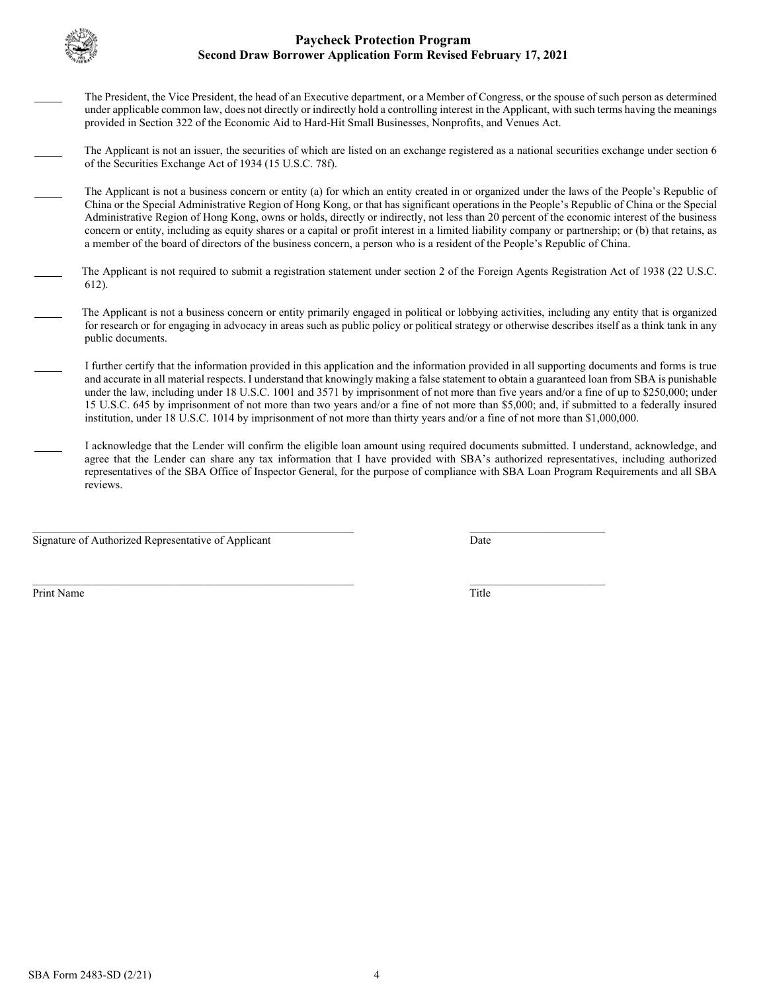

 $\overline{a}$ 

 $\overline{a}$ 

֦

 $\overline{a}$ 

## **Second Draw Borrower Application Form Revised February 17, 2021 Paycheck Protection Program**

The President, the Vice President, the head of an Executive department, or a Member of Congress, or the spouse of such person as determined under applicable common law, does not directly or indirectly hold a controlling interest in the Applicant, with such terms having the meanings provided in Section 322 of the Economic Aid to Hard-Hit Small Businesses, Nonprofits, and Venues Act.

The Applicant is not an issuer, the securities of which are listed on an exchange registered as a national securities exchange under section 6 of the Securities Exchange Act of 1934 (15 U.S.C. 78f).

- China or the Special Administrative Region of Hong Kong, or that has significant operations in the People's Republic of China or the Special concern or entity, including as equity shares or a capital or profit interest in a limited liability company or partnership; or (b) that retains, as The Applicant is not a business concern or entity (a) for which an entity created in or organized under the laws of the People's Republic of Administrative Region of Hong Kong, owns or holds, directly or indirectly, not less than 20 percent of the economic interest of the business a member of the board of directors of the business concern, a person who is a resident of the People's Republic of China.
- The Applicant is not required to submit a registration statement under section 2 of the Foreign Agents Registration Act of 1938 (22 U.S.C. 612).
- The Applicant is not a business concern or entity primarily engaged in political or lobbying activities, including any entity that is organized for research or for engaging in advocacy in areas such as public policy or political strategy or otherwise describes itself as a think tank in any public documents.
- I further certify that the information provided in this application and the information provided in all supporting documents and forms is true and accurate in all material respects. I understand that knowingly making a false statement to obtain a guaranteed loan from SBA is punishable under the law, including under 18 U.S.C. 1001 and 3571 by imprisonment of not more than five years and/or a fine of up to \$250,000; under 15 U.S.C. 645 by imprisonment of not more than two years and/or a fine of not more than \$5,000; and, if submitted to a federally insured institution, under 18 U.S.C. 1014 by imprisonment of not more than thirty years and/or a fine of not more than \$1,000,000.
- representatives of the SBA Office of Inspector General, for the purpose of compliance with SBA Loan Program Requirements and all SBA I acknowledge that the Lender will confirm the eligible loan amount using required documents submitted. I understand, acknowledge, and agree that the Lender can share any tax information that I have provided with SBA's authorized representatives, including authorized reviews.

 $\_$  , and the state of the state of the state of the state of the state of the state of the state of the state of the state of the state of the state of the state of the state of the state of the state of the state of the

Signature of Authorized Representative of Applicant Date

Print Name Print Name Title **The Community Community** Title **The Community Community Community Community Community Community Community Community Community Community Community Community Community Community Community Community Communit** 

 $\_$  , and the state of the state of the state of the state of the state of the state of the state of the state of the state of the state of the state of the state of the state of the state of the state of the state of the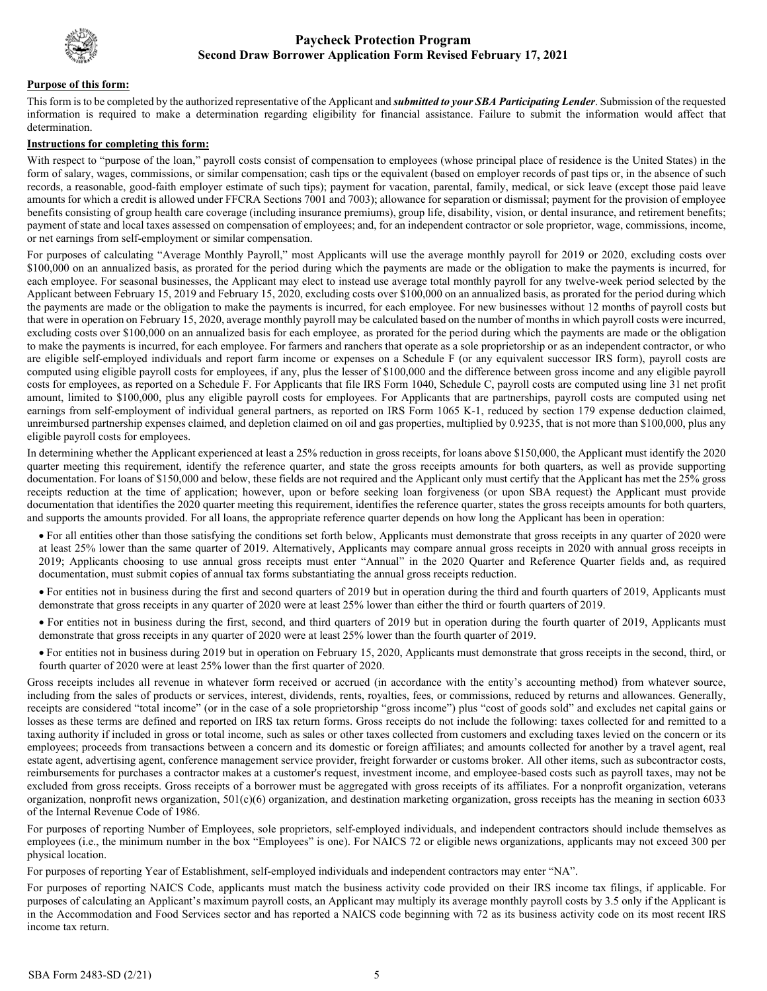

#### **Purpose of this form:**

 information is required to make a determination regarding eligibility for financial assistance. Failure to submit the information would affect that This form is to be completed by the authorized representative of the Applicant and *submitted to your SBA Participating Lender*. Submission of the requested determination.

#### **Instructions for completing this form:**

 form of salary, wages, commissions, or similar compensation; cash tips or the equivalent (based on employer records of past tips or, in the absence of such amounts for which a credit is allowed under FFCRA Sections 7001 and 7003); allowance for separation or dismissal; payment for the provision of employee payment of state and local taxes assessed on compensation of employees; and, for an independent contractor or sole proprietor, wage, commissions, income, With respect to "purpose of the loan," payroll costs consist of compensation to employees (whose principal place of residence is the United States) in the records, a reasonable, good-faith employer estimate of such tips); payment for vacation, parental, family, medical, or sick leave (except those paid leave benefits consisting of group health care coverage (including insurance premiums), group life, disability, vision, or dental insurance, and retirement benefits; or net earnings from self-employment or similar compensation.

 \$100,000 on an annualized basis, as prorated for the period during which the payments are made or the obligation to make the payments is incurred, for Applicant between February 15, 2019 and February 15, 2020, excluding costs over \$100,000 on an annualized basis, as prorated for the period during which the payments are made or the obligation to make the payments is incurred, for each employee. For new businesses without 12 months of payroll costs but computed using eligible payroll costs for employees, if any, plus the lesser of \$100,000 and the difference between gross income and any eligible payroll earnings from self-employment of individual general partners, as reported on IRS Form 1065 K-1, reduced by section 179 expense deduction claimed, For purposes of calculating "Average Monthly Payroll," most Applicants will use the average monthly payroll for 2019 or 2020, excluding costs over each employee. For seasonal businesses, the Applicant may elect to instead use average total monthly payroll for any twelve-week period selected by the that were in operation on February 15, 2020, average monthly payroll may be calculated based on the number of months in which payroll costs were incurred, excluding costs over \$100,000 on an annualized basis for each employee, as prorated for the period during which the payments are made or the obligation to make the payments is incurred, for each employee. For farmers and ranchers that operate as a sole proprietorship or as an independent contractor, or who are eligible self-employed individuals and report farm income or expenses on a Schedule F (or any equivalent successor IRS form), payroll costs are costs for employees, as reported on a Schedule F. For Applicants that file IRS Form 1040, Schedule C, payroll costs are computed using line 31 net profit amount, limited to \$100,000, plus any eligible payroll costs for employees. For Applicants that are partnerships, payroll costs are computed using net unreimbursed partnership expenses claimed, and depletion claimed on oil and gas properties, multiplied by 0.9235, that is not more than \$100,000, plus any eligible payroll costs for employees.

 In determining whether the Applicant experienced at least a 25% reduction in gross receipts, for loans above \$150,000, the Applicant must identify the 2020 quarter meeting this requirement, identify the reference quarter, and state the gross receipts amounts for both quarters, as well as provide supporting receipts reduction at the time of application; however, upon or before seeking loan forgiveness (or upon SBA request) the Applicant must provide and supports the amounts provided. For all loans, the appropriate reference quarter depends on how long the Applicant has been in operation: documentation. For loans of \$150,000 and below, these fields are not required and the Applicant only must certify that the Applicant has met the 25% gross documentation that identifies the 2020 quarter meeting this requirement, identifies the reference quarter, states the gross receipts amounts for both quarters,

- • For all entities other than those satisfying the conditions set forth below, Applicants must demonstrate that gross receipts in any quarter of 2020 were 2019; Applicants choosing to use annual gross receipts must enter "Annual" in the 2020 Quarter and Reference Quarter fields and, as required at least 25% lower than the same quarter of 2019. Alternatively, Applicants may compare annual gross receipts in 2020 with annual gross receipts in documentation, must submit copies of annual tax forms substantiating the annual gross receipts reduction.
- • For entities not in business during the first and second quarters of 2019 but in operation during the third and fourth quarters of 2019, Applicants must demonstrate that gross receipts in any quarter of 2020 were at least 25% lower than either the third or fourth quarters of 2019.
- demonstrate that gross receipts in any quarter of 2020 were at least 25% lower than the fourth quarter of 2019. • For entities not in business during the first, second, and third quarters of 2019 but in operation during the fourth quarter of 2019, Applicants must
- For entities not in business during 2019 but in operation on February 15, 2020, Applicants must demonstrate that gross receipts in the second, third, or fourth quarter of 2020 were at least 25% lower than the first quarter of 2020.

 Gross receipts includes all revenue in whatever form received or accrued (in accordance with the entity's accounting method) from whatever source, including from the sales of products or services, interest, dividends, rents, royalties, fees, or commissions, reduced by returns and allowances. Generally, receipts are considered "total income" (or in the case of a sole proprietorship "gross income") plus "cost of goods sold" and excludes net capital gains or taxing authority if included in gross or total income, such as sales or other taxes collected from customers and excluding taxes levied on the concern or its employees; proceeds from transactions between a concern and its domestic or foreign affiliates; and amounts collected for another by a travel agent, real reimbursements for purchases a contractor makes at a customer's request, investment income, and employee-based costs such as payroll taxes, may not be losses as these terms are defined and reported on IRS tax return forms. Gross receipts do not include the following: taxes collected for and remitted to a estate agent, advertising agent, conference management service provider, freight forwarder or customs broker. All other items, such as subcontractor costs, excluded from gross receipts. Gross receipts of a borrower must be aggregated with gross receipts of its affiliates. For a nonprofit organization, veterans organization, nonprofit news organization, 501(c)(6) organization, and destination marketing organization, gross receipts has the meaning in section 6033 of the Internal Revenue Code of 1986.

 employees (i.e., the minimum number in the box "Employees" is one). For NAICS 72 or eligible news organizations, applicants may not exceed 300 per For purposes of reporting Number of Employees, sole proprietors, self-employed individuals, and independent contractors should include themselves as physical location.

For purposes of reporting Year of Establishment, self-employed individuals and independent contractors may enter "NA".

 in the Accommodation and Food Services sector and has reported a NAICS code beginning with 72 as its business activity code on its most recent IRS For purposes of reporting NAICS Code, applicants must match the business activity code provided on their IRS income tax filings, if applicable. For purposes of calculating an Applicant's maximum payroll costs, an Applicant may multiply its average monthly payroll costs by 3.5 only if the Applicant is income tax return.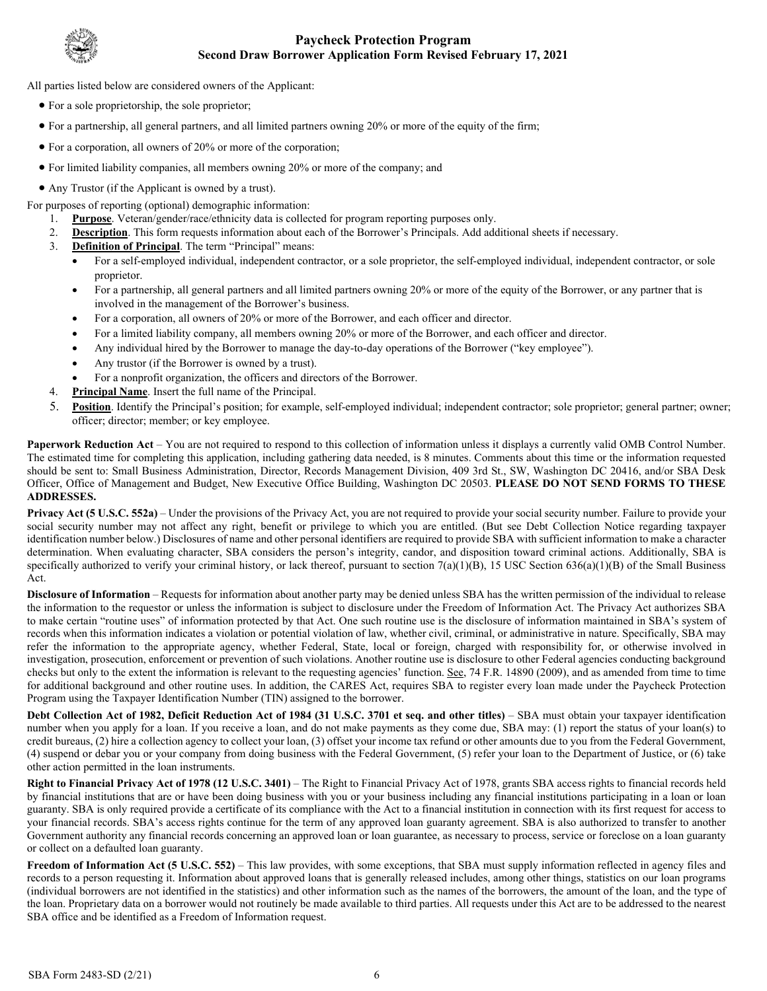

All parties listed below are considered owners of the Applicant:

- For a sole proprietorship, the sole proprietor;
- For a partnership, all general partners, and all limited partners owning 20% or more of the equity of the firm;
- For a corporation, all owners of 20% or more of the corporation;
- For limited liability companies, all members owning 20% or more of the company; and
- Any Trustor (if the Applicant is owned by a trust).

For purposes of reporting (optional) demographic information:

- 1. **Purpose**. Veteran/gender/race/ethnicity data is collected for program reporting purposes only.
- 2. **Description**. This form requests information about each of the Borrower's Principals. Add additional sheets if necessary.
- 3. **Definition of Principal**. The term "Principal" means:
	- • For a self-employed individual, independent contractor, or a sole proprietor, the self-employed individual, independent contractor, or sole proprietor.
	- involved in the management of the Borrower's business. • For a partnership, all general partners and all limited partners owning 20% or more of the equity of the Borrower, or any partner that is
	- For a corporation, all owners of 20% or more of the Borrower, and each officer and director.
	- For a limited liability company, all members owning 20% or more of the Borrower, and each officer and director.
	- Any individual hired by the Borrower to manage the day-to-day operations of the Borrower ("key employee").
	- Any trustor (if the Borrower is owned by a trust).
	- For a nonprofit organization, the officers and directors of the Borrower.
- 4. **Principal Name**. Insert the full name of the Principal.
- officer; director; member; or key employee. 5. **Position**. Identify the Principal's position; for example, self-employed individual; independent contractor; sole proprietor; general partner; owner;

 The estimated time for completing this application, including gathering data needed, is 8 minutes. Comments about this time or the information requested **Paperwork Reduction Act** – You are not required to respond to this collection of information unless it displays a currently valid OMB Control Number. should be sent to: Small Business Administration, Director, Records Management Division, 409 3rd St., SW, Washington DC 20416, and/or SBA Desk Officer, Office of Management and Budget, New Executive Office Building, Washington DC 20503. **PLEASE DO NOT SEND FORMS TO THESE ADDRESSES.** 

**Privacy Act (5 U.S.C. 552a)** – Under the provisions of the Privacy Act, you are not required to provide your social security number. Failure to provide your social security number may not affect any right, benefit or privilege to which you are entitled. (But see Debt Collection Notice regarding taxpayer identification number below.) Disclosures of name and other personal identifiers are required to provide SBA with sufficient information to make a character determination. When evaluating character, SBA considers the person's integrity, candor, and disposition toward criminal actions. Additionally, SBA is specifically authorized to verify your criminal history, or lack thereof, pursuant to section 7(a)(1)(B), 15 USC Section 636(a)(1)(B) of the Small Business Act.

 to make certain "routine uses" of information protected by that Act. One such routine use is the disclosure of information maintained in SBA's system of refer the information to the appropriate agency, whether Federal, State, local or foreign, charged with responsibility for, or otherwise involved in checks but only to the extent the information is relevant to the requesting agencies' function. See, 74 F.R. 14890 (2009), and as amended from time to time for additional background and other routine uses. In addition, the CARES Act, requires SBA to register every loan made under the Paycheck Protection **Disclosure of Information** – Requests for information about another party may be denied unless SBA has the written permission of the individual to release the information to the requestor or unless the information is subject to disclosure under the Freedom of Information Act. The Privacy Act authorizes SBA records when this information indicates a violation or potential violation of law, whether civil, criminal, or administrative in nature. Specifically, SBA may investigation, prosecution, enforcement or prevention of such violations. Another routine use is disclosure to other Federal agencies conducting background Program using the Taxpayer Identification Number (TIN) assigned to the borrower.

 number when you apply for a loan. If you receive a loan, and do not make payments as they come due, SBA may: (1) report the status of your loan(s) to Debt Collection Act of 1982, Deficit Reduction Act of 1984 (31 U.S.C. 3701 et seq. and other titles) – SBA must obtain your taxpayer identification credit bureaus, (2) hire a collection agency to collect your loan, (3) offset your income tax refund or other amounts due to you from the Federal Government, (4) suspend or debar you or your company from doing business with the Federal Government, (5) refer your loan to the Department of Justice, or (6) take other action permitted in the loan instruments.

**Right to Financial Privacy Act of 1978 (12 U.S.C. 3401)** – The Right to Financial Privacy Act of 1978, grants SBA access rights to financial records held by financial institutions that are or have been doing business with you or your business including any financial institutions participating in a loan or loan guaranty. SBA is only required provide a certificate of its compliance with the Act to a financial institution in connection with its first request for access to your financial records. SBA's access rights continue for the term of any approved loan guaranty agreement. SBA is also authorized to transfer to another Government authority any financial records concerning an approved loan or loan guarantee, as necessary to process, service or foreclose on a loan guaranty or collect on a defaulted loan guaranty.

 **Freedom of Information Act (5 U.S.C. 552)** – This law provides, with some exceptions, that SBA must supply information reflected in agency files and (individual borrowers are not identified in the statistics) and other information such as the names of the borrowers, the amount of the loan, and the type of the loan. Proprietary data on a borrower would not routinely be made available to third parties. All requests under this Act are to be addressed to the nearest records to a person requesting it. Information about approved loans that is generally released includes, among other things, statistics on our loan programs SBA office and be identified as a Freedom of Information request.